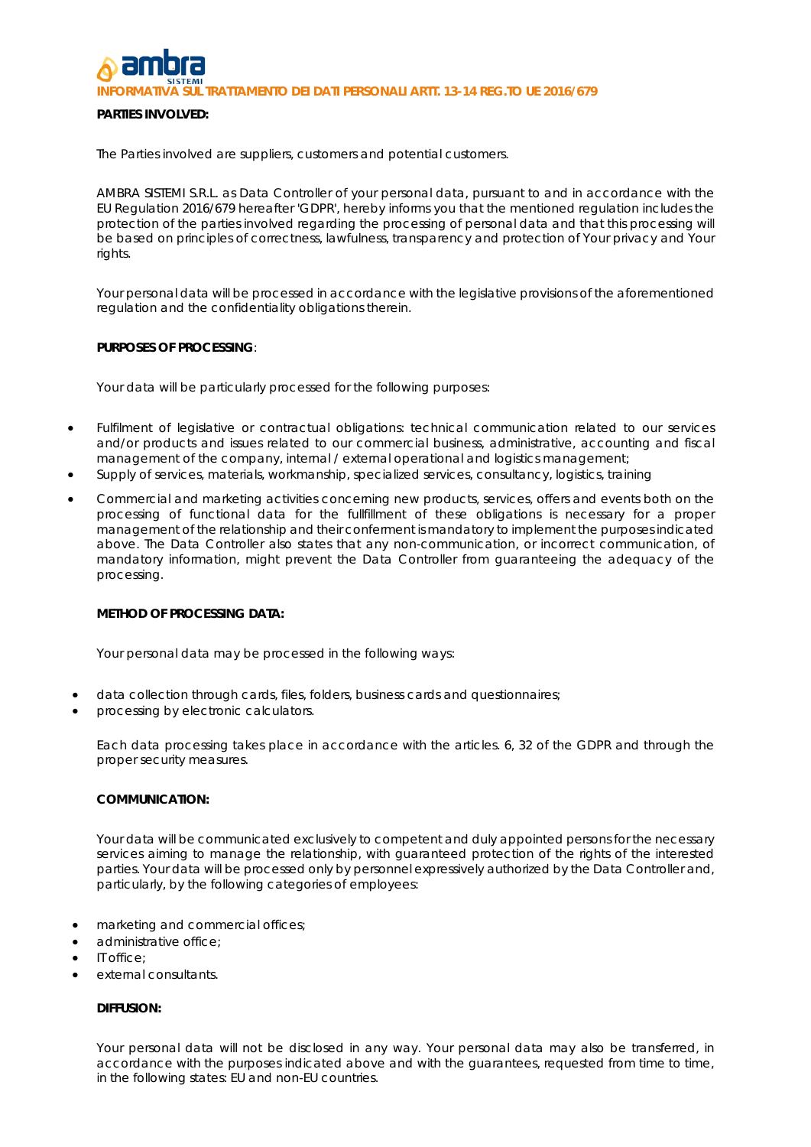**IL TRATTAMENTO DEI DATI PERSONALI ARTT. 13-14 REG.TO UE 2016/679** 

# **PARTIES INVOLVED:**

The Parties involved are suppliers, customers and potential customers.

AMBRA SISTEMI S.R.L. as Data Controller of your personal data, pursuant to and in accordance with the EU Regulation 2016/679 hereafter 'GDPR', hereby informs you that the mentioned regulation includes the protection of the parties involved regarding the processing of personal data and that this processing will be based on principles of correctness, lawfulness, transparency and protection of Your privacy and Your rights.

Your personal data will be processed in accordance with the legislative provisions of the aforementioned regulation and the confidentiality obligations therein.

#### **PURPOSES OF PROCESSING**:

Your data will be particularly processed for the following purposes:

- Fulfilment of legislative or contractual obligations: technical communication related to our services and/or products and issues related to our commercial business, administrative, accounting and fiscal management of the company, internal / external operational and logistics management;
- Supply of services, materials, workmanship, specialized services, consultancy, logistics, training
- Commercial and marketing activities concerning new products, services, offers and events both on the processing of functional data for the fullfillment of these obligations is necessary for a proper management of the relationship and their conferment is mandatory to implement the purposes indicated above. The Data Controller also states that any non-communication, or incorrect communication, of mandatory information, might prevent the Data Controller from guaranteeing the adequacy of the processing.

#### **METHOD OF PROCESSING DATA:**

Your personal data may be processed in the following ways:

- data collection through cards, files, folders, business cards and questionnaires;
- processing by electronic calculators.

Each data processing takes place in accordance with the articles. 6, 32 of the GDPR and through the proper security measures.

## **COMMUNICATION:**

Your data will be communicated exclusively to competent and duly appointed persons for the necessary services aiming to manage the relationship, with guaranteed protection of the rights of the interested parties. Your data will be processed only by personnel expressively authorized by the Data Controller and, particularly, by the following categories of employees:

- marketing and commercial offices;
- administrative office:
- IT office;
- external consultants.

# **DIFFUSION:**

Your personal data will not be disclosed in any way. Your personal data may also be transferred, in accordance with the purposes indicated above and with the quarantees, requested from time to time, in the following states: EU and non-EU countries.